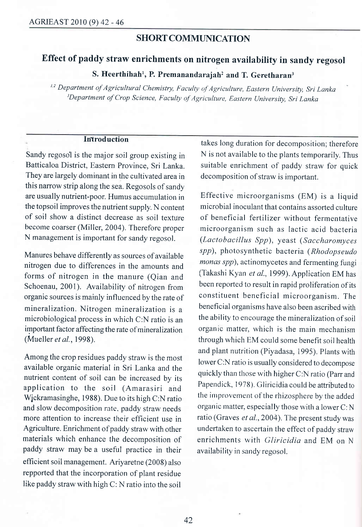## SHORT COMMUNICATION

# Effect of paddy straw enrichments on nitrogen availability in sandy regosol

S. Heerthihah<sup>1</sup>, P. Premanandarajah<sup>2</sup> and T. Geretharan<sup>3</sup>

<sup>1,2</sup> Department of Agricultural Chemistry, Faculty of Agriculture, Eastern University, Sri Lanka <sup>3</sup>Department of Crop Science, Faculty of Agriculture, Eastern University, Sri Lanka

#### **Introduction**

Sandy regosol is the major soil group existing in Batticaloa District, Eastern Province, Sri Lanka. They are largely dominant in the cultivated area in this narrow strip along the sea. Regosols of sandy are usually nutrient-poor. Humus accumulatiou in the topsoil improves the nutrient supply. N content of soil show a distinct decrease as soil textuie become coarser (Miller, 2004). Therefore proper N management is important for sandy regosol.

Manures behave differently as sources of available nitrogen due to differences in the amounts and forms of nitrogen in the manure (Qian and Schoenau, 2001). Availability of nitrogen from organic sources is mainly influenced by the rate of mineralization. Nitrogen mineralization is <sup>a</sup> microbiological process in which C:N ratio is an important factor affecting the rate of mineralization (Mueller et al., 1998).

Among the crop residues paddy straw is the most available organic material in Sri Lanka and the nutrient content of soil can be increased by its application to the soil (Amarasiri and Wjckramasinghe, 1988). Due to its high C:N ratio and slow decomposition rate. paddy straw needs more attention to increase their efficient use in Agriculture. Enrichment of paddy straw with other materials which enhance the decomposition of paddy straw may be a useful practice in their efficient soil management. Ariyaretne (2008) also repported that the incorporation of plant residue like paddy straw with high C: N ratio into the soil

takes long duration for decomposition; therefore N is not available to the plants temporarily. Thus suitable enrichment of paddy straw for quick decomposition of straw is important.

Effective microorganisms (EM) is a liquid microbial inoculant that contains assorted culture of beneficial fertilizer without fermentative microorganism such as lactic acid bacteria  $(Lactobacillus$  Spp), yeast (Saccharomyces spp), photosynthetic bacteria (Rhodopseudo monas spp), actinomycetes and fermenting fungi (Takashi Kyan et al., 1999). Application EM has been reported to result in rapid proliferation of its constituent beneficial microorganism. The beneficial organisms have also been ascribed with the ability to encourage the mineralization of soil organic matter, which is the main mechanism through which EM could some benefit soil health and plant nutrition (Piyadasa, 1995). Plants with lower C:N ratio is usually considered to decompose quickly than those with higher C:N ratio (Parr and Papendick, 1978). Gliricidia could be attributed to the improvement of the rhizosphere by the added organic matter, especially those with a lower  $C: N$ ratio (Graves et al., 2004). The present study was undertaken to ascertain the effect of paddy straw enrichments with Gliricidia and EM on <sup>N</sup> availability in sandy regosol.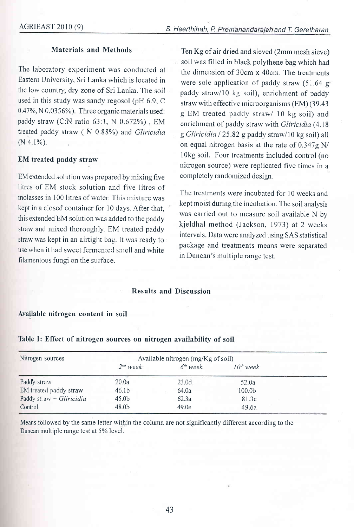## Materials and Methods

The laboratory experiment was conducted at Eastern University, Sri Lanka which is located in the low country, dry zone of Sri Lanka. The soil used in this study was sandy regosol (pH 6.9, C 0.41%,N 0.0356%). Three organic materials used: paddy straw (C:N ratio 63:1, N 0.672%), EM treated paddy straw ( N 0.88%) and Gliricidia (N 4.1%).

## EM treated paddy straw

EM extended solution was prepared by mixing five litres of EM stock solution and five litres of molasses in 100 litres of water. This mixture was kept in a closed container for 10 days. After that, this extended EM solution was added to the paddy straw and mixed thoroughly. EM treated paddy straw was kept in an airtight bag. It was ready to use when it had sweet fermented smell and white filamentous fungi on the surface.

Ten Kg of air dried and sieved (2mm rnesh sieve) soil was filled in black polythene bag which had the dimension of  $30cm \times 40cm$ . The treatments were sole application of paddy straw (51.64 g paddy straw/10 kg soil), enrichment of paddy straw with effective microorganisms  $(EM)$  (39.43) g EM treated paddy straw/ l0 kg soil) and enrichment of paddy straw with Gliricidia (4.18) g Gliricidia / 25.82 g paddy straw/10 kg soil) all on equal nitrogen basis at the rate of  $0.347g$  N/ lOkg soil. Four treatments included control (no nitrogen source) were replicated five times in a completely randomized design.

The treatments were incubated for 10 weeks and kept moist during the incubation. The soil analysis was carried out to measure soil available N by kjeldhal method (Jackson, 1973) at 2 weeks intervals. Data were analyzed using SAS statistical package and treatments means were separated in Duncan's multiple range test.

#### Results and Discussion

#### Available nitrogen content in soil

| Nitrogen sources            | Available nitrogen (mg/Kg of soil) |            |                    |  |
|-----------------------------|------------------------------------|------------|--------------------|--|
|                             | $2nd$ week                         | $6th$ week | $10th$ week        |  |
| Paddy straw                 | 20.0a                              | 23.0d      | 52.0a              |  |
| EM treated paddy straw      | 46.1 <sub>b</sub>                  | 64.0a      | 100.0 <sub>b</sub> |  |
| Paddy straw + $G$ liricidia | 45.0 <sub>b</sub>                  | 62.3a      | 81.3c              |  |
| Control                     | 48.0 <sub>b</sub>                  | 49.0e      | 49.6a              |  |

#### Table 1: Effect of nitrogen sources on nitrogen availability of soil

Means followed by the same leffer within the column are not significantly different according to the Duncan multiple range test at 5% level.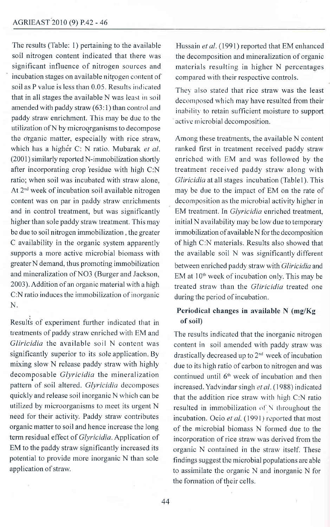The results (Table: l) pertaining to the available soil nitrogen content indicated that there was significant influence of nitrogen sources and incubation stages on available nitrogen content of soil as P value is less than 0.05. Results indicated that in all stages the available N was least in soil amended with paddy straw (63:1) than control and paddy straw enrichment. This may be due to the utilization of N by microorganisms to decompose the organic matter, especially with rice straw, which has a higher C: N ratio. Mubarak et al. (2001) similarly reported N-immobilization shortly after incorporating crop'residue with high C:N ratio; when soil was incubated with straw alone, At 2"d week of incubation soil available nitrogen content was on par in paddy straw enrichments and in control treatment, but was significantly higher than sole paddy straw treatment. This may be due to soil nitrogen immobilization , the greater C availability in the organic system apparently supports a more active microbial biomass with greater N demand, thus promoting immobilization and mineralization of NO3 (Burger and Jackson, 2003). Addition of an organic material with a high C:N ratio induces the immobilization of inorganic N.

Results of experiment further indicated that in treatments of paddy straw enriched with EM and Gliricidia the available soil N content was significantly superior to its sole application. By mixing slow N release paddy straw with highly decomposable Glyricidia the mineralization pattern of soil altered. Glyricidia decomposes quickly and release soil inorganic N which can be utilized by microorganisms to meet its urgent N need for their activity. Paddy straw contributes organic matter to soil and hence increase the long term residual effect of Glyricidia. Application of EM to the paddy straw significantly increased its potential to provide more inorganic N than sole application of straw.

Hussain et al. (1991) reported that EM enhanced the decomposition and mineralization of organic materials resulting in higher N percentages compared with their respective controls.

Thev also stated that rice straw was the least decomposed which may have resulted from their inability to retain sufficient moisture to support active microbial decomposition.

Among these treatments, the available N content ranked first in treatment received paddy straw enriched with EM and was followed by the treatment received paddy straw along with Gliricidia at all stages incubation (Tablel). This may be due to the impact of EM on the rate of decornposition as the microbial activity higher in EM treatment. In Glyricidia enriched treatment, initial N availability may be low due to temporary immobilization of available N for the decomposition of high C:N materials. Results also showed that the available soil N was significantly different between enriched paddy straw with Gliricidia and  $EM$  at  $10<sup>th</sup>$  week of incubation only. This may be treated straw than the Gliricidia treated one during the period of incubation.

## Periodical changes in available N (mg/Kg) of soil)

The results indicated that the inorganic nitrogen content in soil amended with paddy straw was drastically decreased up to  $2<sup>nd</sup>$  week of incubation due to its high ratio of carbon to nitrogen and was continued until 6'h week of incubation and then increased. Yadvindar singh et al. (1988) indicated that the addition rice straw with high C:N ratio resulted in immobilization of  $\bar{N}$  throughout the incubation. Ocio et al. (1991) reported that most of the microbial biomass N forrned due to the incorporation of rice straw was derived from the organic N contained in the straw itself. These findings suggest the microbial populations are able to assimilate the organic N and inorganic N for the formation of their cells.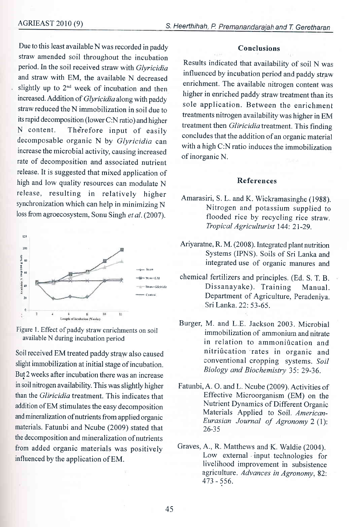$\ddot{\phantom{a}}$ 

Due to this least available N was recorded in paddy straw amended soil throughout the incubation period. In the soil received straw with Glyricidia and straw with EM, the available N decreased slightly up to  $2<sup>nd</sup>$  week of incubation and then increased. Addition of *Glyricidia* along with paddy straw reduced the N immobilization in soil due to its rapid decomposition (lower C:N ratio) and higher N content. Therefore input of easily decomposable organic N by Glyricidia can increase the microbial activity, causing increased rate of decomposition and associated nutrient release. It is suggested that mixed application of high and low quality resources can modulate N release, resulting in relatively higher synchronization which can help in minimizing N loss from agroecosystem, Sonu Singh et al. (2007).



Figure 1. Effect of paddy straw enrichments on soil available N during incubation period

Soil received EM treated paddy straw also caused slight immobilization at initial stage of incubation. But 2 weeks after incubation there was an increase in soil nitrogen availability. This was slightly higher than the *Gliricidia* treatment. This indicates that addition of EM stimulates the easy decomposition and mineralization of nutrients from applied organic materials. Fatunbi and Ncube (2009) stated that the decomposition and mineralization of nutrients from added organic materials was positively influenced by the application of EM.

### Conclusions

Results indicated that availability of soil N was influenced by incubation period and paddy straw enrichment. The available nitrogen content was higher in enriched paddy straw treatment than its sole application. Between the enrichment treatments nitrogen availability was higher in EM treatment then *Gliricidia* treatment. This finding concludes that the addition of an organic material with a high C:N ratio induces the immobilization of inorganic N.

#### References

- Amarasiri, S. L. and K. Wickramasinghe (1988). Nitrogen and potassium supplied to flooded rice by recycling rice straw. Tropical Agriculturist 144: 21-29.
- Ariyaratne, R. M. (2008). Integrated plant nutrition Systems (IPNS). Soils of Sri Lanka and integrated use of organic manures and
- chemical fertilizers and principles. (Ed. S. T. B. Dissanayake). Training Manual. Department of Agriculture, Peradeniya. Sri Lanka. 22:53-65.
- Burger, M. and L.E. Jackson 2003. Microbial immobilization of ammonium and nitrate in relation to ammonification and nitri0cation'rates in organic and conventional cropping systems. Soil Biology and Biochemistry 35: 29-36.
- Fatunbi, A. O. and L. Ncube (2009). Activities of Effective Microorganism (EM) on the Nutrient Dynamics of Different Organic Materials Applied to Soil. American-Eurasian Journal of Agronomy 2 (l): 26-35
- Graves, A., R. Matthews and K. Waldie (2004). Low external input technologies for livelihood improvement in subsistence agriculture. Advances in Agronomy, 82: 473 - 556.